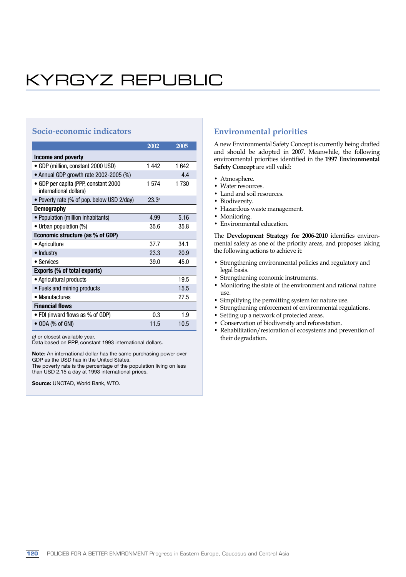# KYRGYZ REPUBLIC

## **Socio-economic indicators**

|                                                                | 2002              | 2005 |  |  |
|----------------------------------------------------------------|-------------------|------|--|--|
| Income and poverty                                             |                   |      |  |  |
| • GDP (million, constant 2000 USD)                             | 1442              | 1642 |  |  |
| • Annual GDP growth rate 2002-2005 (%)                         |                   | 44   |  |  |
| • GDP per capita (PPP, constant 2000<br>international dollars) | 1574              | 1730 |  |  |
| • Poverty rate (% of pop. below USD 2/day)                     | 23.3 <sup>a</sup> |      |  |  |
| <b>Demography</b>                                              |                   |      |  |  |
| • Population (million inhabitants)                             | 4.99              | 5.16 |  |  |
| • Urban population (%)                                         | 35.6              | 35.8 |  |  |
| Economic structure (as % of GDP)                               |                   |      |  |  |
| • Agriculture                                                  | 37.7              | 34.1 |  |  |
| • Industry                                                     | 23.3              | 20.9 |  |  |
| • Services                                                     | 39.0              | 45.0 |  |  |
| Exports (% of total exports)                                   |                   |      |  |  |
| • Agricultural products                                        |                   | 19.5 |  |  |
| • Fuels and mining products                                    |                   | 15.5 |  |  |
| • Manufactures                                                 |                   | 27.5 |  |  |
| <b>Financial flows</b>                                         |                   |      |  |  |
| • FDI (inward flows as % of GDP)                               | 0.3               | 1.9  |  |  |
| $\bullet$ ODA (% of GNI)                                       | 11.5              | 10.5 |  |  |

a) or closest available year.

Data based on PPP, constant 1993 international dollars.

Note: An international dollar has the same purchasing power over GDP as the USD has in the United States.

The poverty rate is the percentage of the population living on less than USD 2.15 a day at 1993 international prices.

Source: UNCTAD, World Bank, WTO.

### **Environmental priorities**

A new Environmental Safety Concept is currently being drafted and should be adopted in 2007. Meanwhile, the following environmental priorities identified in the **1997 Environmental Safety Concept** are still valid:

- Atmosphere.
- Water resources.
- Land and soil resources.
- Biodiversity.
- Hazardous waste management.
- Monitoring.
- Environmental education.

The **Development Strategy for 2006-2010** identifies environmental safety as one of the priority areas, and proposes taking the following actions to achieve it:

- Strengthening environmental policies and regulatory and legal basis.
- Strengthening economic instruments.
- Monitoring the state of the environment and rational nature use.
- Simplifying the permitting system for nature use.
- Strengthening enforcement of environmental regulations.
- Setting up a network of protected areas.
- Conservation of biodiversity and reforestation.
- Rehabilitation/restoration of ecosystems and prevention of their degradation.

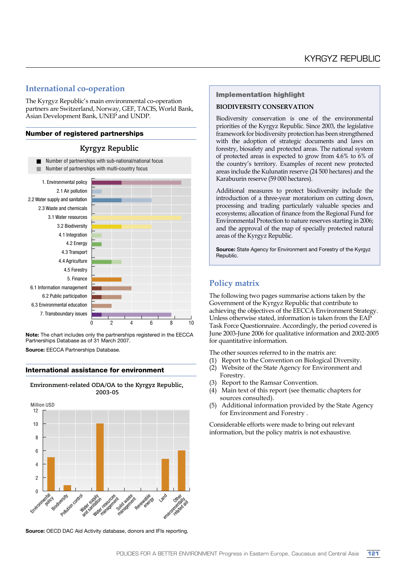### **International co-operation**

The Kyrgyz Republic's main environmental co-operation partners are Switzerland, Norway, GEF, TACIS, World Bank, Asian Development Bank, UNEP and UNDP.

#### Number of registered partnerships





Note: The chart includes only the partnerships registered in the EECCA Partnerships Database as of 31 March 2007. Source: EECCA Partnerships Database.

#### International assistance for environment

**Environment-related ODA/OA to the Kyrgyz Republic, 2003-05** 



Source: OECD DAC Aid Activity database, donors and IFIs reporting.

#### Implementation highlight

#### **BIODIVERSITY CONSERVATION**

Biodiversity conservation is one of the environmental priorities of the Kyrgyz Republic. Since 2003, the legislative framework for biodiversity protection has been strengthened with the adoption of strategic documents and laws on forestry, biosafety and protected areas. The national system of protected areas is expected to grow from 4.6% to 6% of the country's territory. Examples of recent new protected areas include the Kulunatin reserve (24 500 hectares) and the Karabuurin reserve (59 000 hectares).

Additional measures to protect biodiversity include the introduction of a three-year moratorium on cutting down, processing and trading particularly valuable species and ecosystems; allocation of finance from the Regional Fund for Environmental Protection to nature reserves starting in 2006; and the approval of the map of specially protected natural areas of the Kyrgyz Republic.

Source: State Agency for Environment and Forestry of the Kyrgyz Republic.

# **Policy matrix**

The following two pages summarise actions taken by the Government of the Kyrgyz Republic that contribute to achieving the objectives of the EECCA Environment Strategy. Unless otherwise stated, information is taken from the EAP Task Force Questionnaire. Accordingly, the period covered is June 2003-June 2006 for qualitative information and 2002-2005 for quantitative information.

The other sources referred to in the matrix are:

- (1) Report to the Convention on Biological Diversity.
- (2) Website of the State Agency for Environment and Forestry.
- (3) Report to the Ramsar Convention.
- (4) Main text of this report (see thematic chapters for sources consulted).
- Additional information provided by the State Agency for Environment and Forestry .

Considerable efforts were made to bring out relevant information, but the policy matrix is not exhaustive.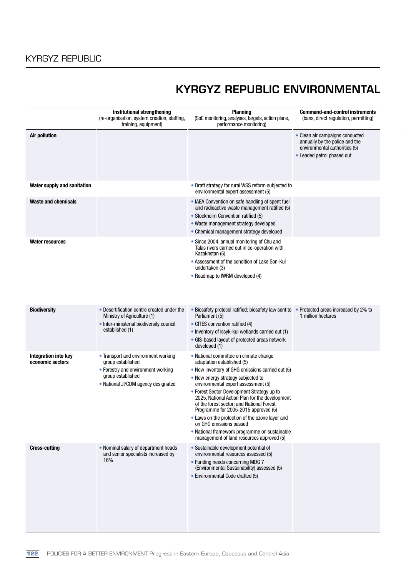# KYRGYZ REPUBLIC ENVIRONMENTAL

|                                                 | Institutional strengthening<br>(re-organisation, system creation, staffing,<br>training, equipment)                                                        | <b>Planning</b><br>(SoE monitoring, analyses, targets, action plans,<br>performance monitoring)                                                                                                                                                                                                                                                                                                                                                                                                                                                                        | <b>Command-and-control instruments</b><br>(bans, direct regulation, permitting)                                                  |
|-------------------------------------------------|------------------------------------------------------------------------------------------------------------------------------------------------------------|------------------------------------------------------------------------------------------------------------------------------------------------------------------------------------------------------------------------------------------------------------------------------------------------------------------------------------------------------------------------------------------------------------------------------------------------------------------------------------------------------------------------------------------------------------------------|----------------------------------------------------------------------------------------------------------------------------------|
| <b>Air pollution</b>                            |                                                                                                                                                            |                                                                                                                                                                                                                                                                                                                                                                                                                                                                                                                                                                        | • Clean air campaigns conducted<br>annually by the police and the<br>environmental authorities (5)<br>• Leaded petrol phased out |
| Water supply and sanitation                     |                                                                                                                                                            | • Draft strategy for rural WSS reform subjected to<br>environmental expert assessment (5)                                                                                                                                                                                                                                                                                                                                                                                                                                                                              |                                                                                                                                  |
| <b>Waste and chemicals</b>                      |                                                                                                                                                            | • IAEA Convention on safe handling of spent fuel<br>and radioactive waste management ratified (5)<br>• Stockholm Convention ratified (5)<br>• Waste management strategy developed<br>• Chemical management strategy developed                                                                                                                                                                                                                                                                                                                                          |                                                                                                                                  |
| <b>Water resources</b>                          |                                                                                                                                                            | • Since 2004, annual monitoring of Chu and<br>Talas rivers carried out in co-operation with<br>Kazakhstan (5)<br>• Assessment of the condition of Lake Son-Kul<br>undertaken (3)<br>• Roadmap to IWRM developed (4)                                                                                                                                                                                                                                                                                                                                                    |                                                                                                                                  |
| <b>Biodiversity</b>                             | • Desertification centre created under the<br>Ministry of Agriculture (1)<br>• Inter-ministerial biodiversity council<br>established (1)                   | • Biosafety protocol ratified; biosafety law sent to<br>Parliament (5)<br>• CITES convention ratified (4)<br>• Inventory of Issyk-kul wetlands carried out (1)<br>• GIS-based layout of protected areas network<br>developed (1)                                                                                                                                                                                                                                                                                                                                       | • Protected areas increased by 2% to<br>1 million hectares                                                                       |
| <b>Integration into key</b><br>economic sectors | • Transport and environment working<br>group established<br>• Forestry and environment working<br>group established<br>• National JI/CDM agency designated | • National committee on climate change<br>adaptation established (5)<br>• New inventory of GHG emissions carried out (5)<br>• New energy strategy subjected to<br>environmental expert assessment (5)<br>• Forest Sector Development Strategy up to<br>2025, National Action Plan for the development<br>of the forest sector, and National Forest<br>Programme for 2005-2015 approved (5)<br>• Laws on the protection of the ozone layer and<br>on GHG emissions passed<br>• National framework programme on sustainable<br>management of land resources approved (5) |                                                                                                                                  |
| <b>Cross-cutting</b>                            | • Nominal salary of department heads<br>and senior specialists increased by<br>16%                                                                         | • Sustainable development potential of<br>environmental resources assessed (5)<br>• Funding needs concerning MDG 7<br>(Environmental Sustainability) assessed (5)<br>• Environmental Code drafted (5)                                                                                                                                                                                                                                                                                                                                                                  |                                                                                                                                  |